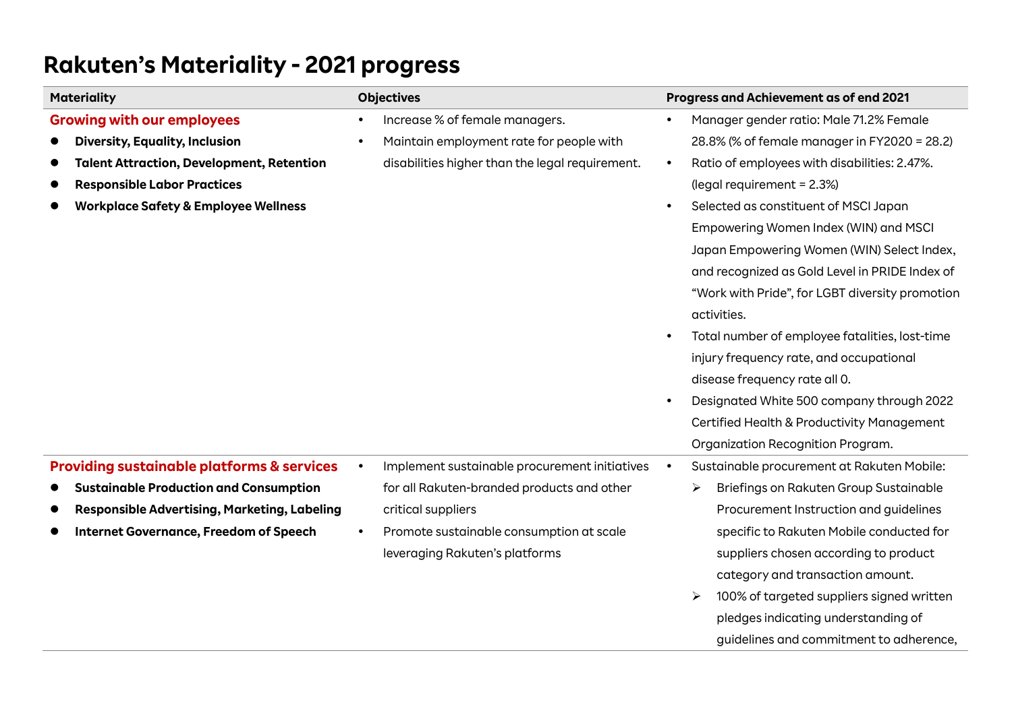| <b>Materiality</b>                                    | <b>Objectives</b>                                          | Progress and Achievement as of end 2021                   |
|-------------------------------------------------------|------------------------------------------------------------|-----------------------------------------------------------|
| <b>Growing with our employees</b>                     | Increase % of female managers.                             | Manager gender ratio: Male 71.2% Female                   |
| <b>Diversity, Equality, Inclusion</b>                 | Maintain employment rate for people with                   | 28.8% (% of female manager in FY2020 = 28.2)              |
| <b>Talent Attraction, Development, Retention</b>      | disabilities higher than the legal requirement.            | Ratio of employees with disabilities: 2.47%.<br>$\bullet$ |
| <b>Responsible Labor Practices</b>                    |                                                            | (legal requirement = 2.3%)                                |
| <b>Workplace Safety &amp; Employee Wellness</b>       |                                                            | Selected as constituent of MSCI Japan<br>$\bullet$        |
|                                                       |                                                            | Empowering Women Index (WIN) and MSCI                     |
|                                                       |                                                            | Japan Empowering Women (WIN) Select Index,                |
|                                                       |                                                            | and recognized as Gold Level in PRIDE Index of            |
|                                                       |                                                            | "Work with Pride", for LGBT diversity promotion           |
|                                                       |                                                            | activities.                                               |
|                                                       |                                                            | Total number of employee fatalities, lost-time            |
|                                                       |                                                            | injury frequency rate, and occupational                   |
|                                                       |                                                            | disease frequency rate all 0.                             |
|                                                       |                                                            | Designated White 500 company through 2022                 |
|                                                       |                                                            | Certified Health & Productivity Management                |
|                                                       |                                                            | Organization Recognition Program.                         |
| <b>Providing sustainable platforms &amp; services</b> | Implement sustainable procurement initiatives<br>$\bullet$ | Sustainable procurement at Rakuten Mobile:                |
| <b>Sustainable Production and Consumption</b>         | for all Rakuten-branded products and other                 | Briefings on Rakuten Group Sustainable<br>➤               |
| <b>Responsible Advertising, Marketing, Labeling</b>   | critical suppliers                                         | Procurement Instruction and guidelines                    |
| <b>Internet Governance, Freedom of Speech</b>         | Promote sustainable consumption at scale                   | specific to Rakuten Mobile conducted for                  |
|                                                       | leveraging Rakuten's platforms                             | suppliers chosen according to product                     |
|                                                       |                                                            | category and transaction amount.                          |
|                                                       |                                                            | 100% of targeted suppliers signed written<br>≻            |
|                                                       |                                                            | pledges indicating understanding of                       |
|                                                       |                                                            | guidelines and commitment to adherence,                   |

## **Rakuten's Materiality - 2021 progress**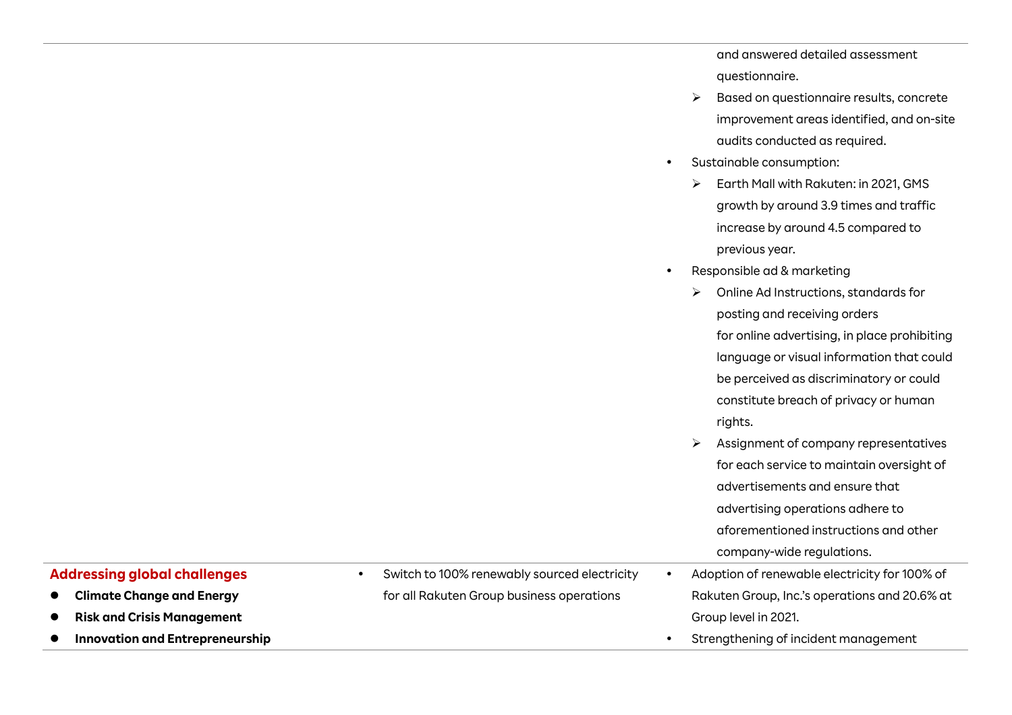and answered detailed assessment questionnaire.

- ➢ Based on questionnaire results, concrete improvement areas identified, and on-site audits conducted as required.
- Sustainable consumption:
	- ➢ Earth Mall with Rakuten: in 2021, GMS growth by around 3.9 times and traffic increase by around 4.5 compared to previous year.
- Responsible ad & marketing
	- ➢ Online Ad Instructions, standards for posting and receiving orders for online advertising, in place prohibiting language or visual information that could be perceived as discriminatory or could constitute breach of privacy or human rights.
	- ➢ Assignment of company representatives for each service to maintain oversight of advertisements and ensure that advertising operations adhere to aforementioned instructions and other company-wide regulations.
- Adoption of renewable electricity for 100% of Rakuten Group, Inc.'s operations and 20.6% at Group level in 2021.
- Strengthening of incident management

## **Addressing global challenges**

- ⚫ **Climate Change and Energy**
- ⚫ **Risk and Crisis Management**
- ⚫ **Innovation and Entrepreneurship**

 Switch to 100% renewably sourced electricity for all Rakuten Group business operations